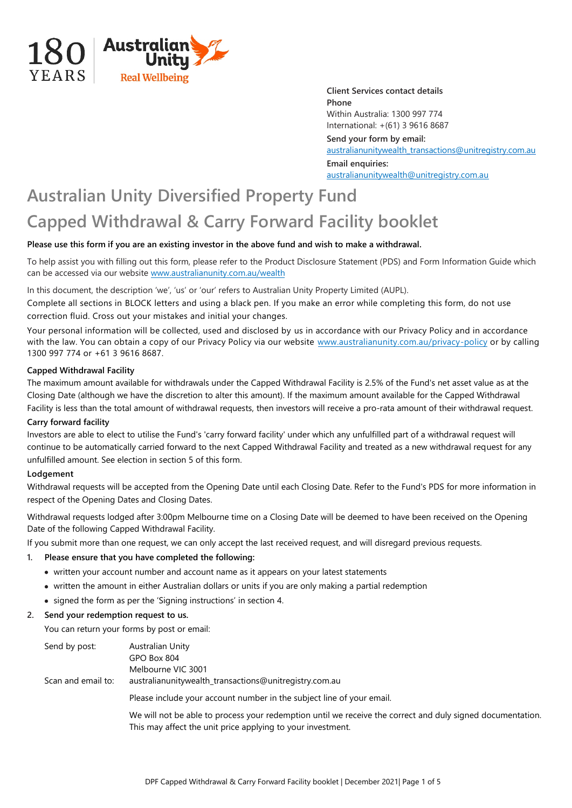

**Client Services contact details Phone** Within Australia: 1300 997 774 International: +(61) 3 9616 8687 **Send your form by email:**  [australianunitywealth\\_transactions@unitregistry.com.au](mailto:australianunitywealth_transactions@unitregistry.com.au) **Email enquiries:** [australianunitywealth@unitregistry.com.au](mailto:australianunitywealth@unitregistry.com.au)

# **Australian Unity Diversified Property Fund Capped Withdrawal & Carry Forward Facility booklet**

## **Please use this form if you are an existing investor in the above fund and wish to make a withdrawal.**

To help assist you with filling out this form, please refer to the Product Disclosure Statement (PDS) and Form Information Guide which can be accessed via our website www.australianunity.com.au/wealth

In this document, the description 'we', 'us' or 'our' refers to Australian Unity Property Limited (AUPL).

Complete all sections in BLOCK letters and using a black pen. If you make an error while completing this form, do not use correction fluid. Cross out your mistakes and initial your changes.

Your personal information will be collected, used and disclosed by us in accordance with our Privacy Policy and in accordance with the law. You can obtain a copy of our Privacy Policy via our website www.australianunity.com.au/privacy-policy or by calling 1300 997 774 or +61 3 9616 8687.

#### **Capped Withdrawal Facility**

The maximum amount available for withdrawals under the Capped Withdrawal Facility is 2.5% of the Fund's net asset value as at the Closing Date (although we have the discretion to alter this amount). If the maximum amount available for the Capped Withdrawal Facility is less than the total amount of withdrawal requests, then investors will receive a pro-rata amount of their withdrawal request.

#### **Carry forward facility**

Investors are able to elect to utilise the Fund's 'carry forward facility' under which any unfulfilled part of a withdrawal request will continue to be automatically carried forward to the next Capped Withdrawal Facility and treated as a new withdrawal request for any unfulfilled amount. See election in section 5 of this form.

#### **Lodgement**

Withdrawal requests will be accepted from the Opening Date until each Closing Date. Refer to the Fund's PDS for more information in respect of the Opening Dates and Closing Dates.

Withdrawal requests lodged after 3:00pm Melbourne time on a Closing Date will be deemed to have been received on the Opening Date of the following Capped Withdrawal Facility.

If you submit more than one request, we can only accept the last received request, and will disregard previous requests.

#### **1. Please ensure that you have completed the following:**

- written your account number and account name as it appears on your latest statements
- written the amount in either Australian dollars or units if you are only making a partial redemption
- signed the form as per the 'Signing instructions' in section 4.

#### **2. Send your redemption request to us.**

You can return your forms by post or email:

| Send by post:      | Australian Unity                                                                                                                                                          |  |  |
|--------------------|---------------------------------------------------------------------------------------------------------------------------------------------------------------------------|--|--|
|                    | GPO Box 804                                                                                                                                                               |  |  |
|                    | Melbourne VIC 3001                                                                                                                                                        |  |  |
| Scan and email to: | australianunitywealth_transactions@unitregistry.com.au                                                                                                                    |  |  |
|                    | Please include your account number in the subject line of your email.                                                                                                     |  |  |
|                    | We will not be able to process your redemption until we receive the correct and duly signed documentation.<br>This may affect the unit price applying to your investment. |  |  |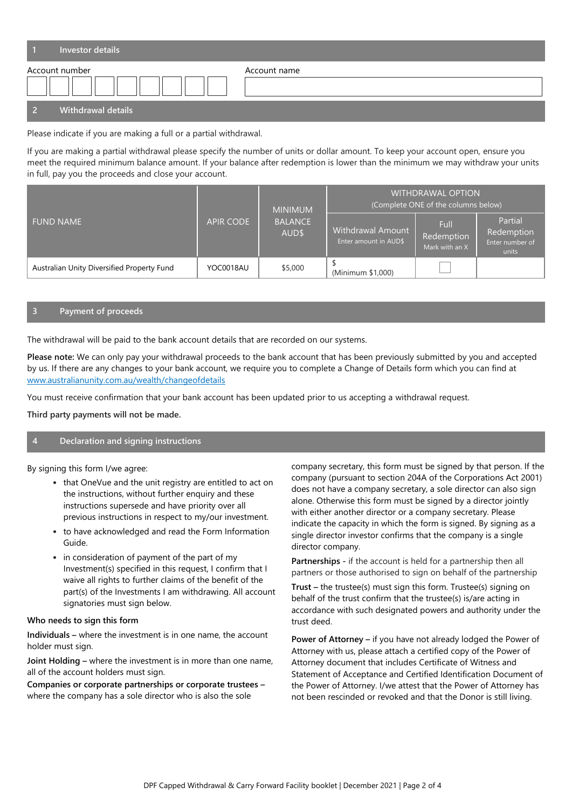| Investor details   |              |
|--------------------|--------------|
| Account number     | Account name |
| Withdrawal details |              |

Please indicate if you are making a full or a partial withdrawal.

If you are making a partial withdrawal please specify the number of units or dollar amount. To keep your account open, ensure you meet the required minimum balance amount. If your balance after redemption is lower than the minimum we may withdraw your units in full, pay you the proceeds and close your account.

|                                            | <b>APIR CODE</b> | <b>MINIMUM</b><br><b>BALANCE</b><br>AUD\$ | <b>WITHDRAWAL OPTION</b><br>(Complete ONE of the columns below) |                                      |                                                   |
|--------------------------------------------|------------------|-------------------------------------------|-----------------------------------------------------------------|--------------------------------------|---------------------------------------------------|
| <b>FUND NAME</b>                           |                  |                                           | Withdrawal Amount<br>Enter amount in AUD\$                      | Full<br>Redemption<br>Mark with an X | Partial<br>Redemption<br>Enter number of<br>units |
| Australian Unity Diversified Property Fund | YOC0018AU        | \$5,000                                   | (Minimum \$1,000)                                               |                                      |                                                   |

# **3 Payment of proceeds**

The withdrawal will be paid to the bank account details that are recorded on our systems.

**Please note:** We can only pay your withdrawal proceeds to the bank account that has been previously submitted by you and accepted by us. If there are any changes to your bank account, we require you to complete a Change of Details form which you can find at www.australianunity.com.au/wealth/changeofdetails

You must receive confirmation that your bank account has been updated prior to us accepting a withdrawal request.

**Third party payments will not be made.**

### **4 Declaration and signing instructions**

By signing this form I/we agree:

- that OneVue and the unit registry are entitled to act on the instructions, without further enquiry and these instructions supersede and have priority over all previous instructions in respect to my/our investment.
- to have acknowledged and read the Form Information Guide.
- in consideration of payment of the part of my Investment(s) specified in this request, I confirm that I waive all rights to further claims of the benefit of the part(s) of the Investments I am withdrawing. All account signatories must sign below.

#### **Who needs to sign this form**

**Individuals –** where the investment is in one name, the account holder must sign.

**Joint Holding –** where the investment is in more than one name, all of the account holders must sign.

**Companies or corporate partnerships or corporate trustees –** where the company has a sole director who is also the sole

company secretary, this form must be signed by that person. If the company (pursuant to section 204A of the Corporations Act 2001) does not have a company secretary, a sole director can also sign alone. Otherwise this form must be signed by a director jointly with either another director or a company secretary. Please indicate the capacity in which the form is signed. By signing as a single director investor confirms that the company is a single director company.

**Partnerships -** if the account is held for a partnership then all partners or those authorised to sign on behalf of the partnership

**Trust –** the trustee(s) must sign this form. Trustee(s) signing on behalf of the trust confirm that the trustee(s) is/are acting in accordance with such designated powers and authority under the trust deed.

**Power of Attorney –** if you have not already lodged the Power of Attorney with us, please attach a certified copy of the Power of Attorney document that includes Certificate of Witness and Statement of Acceptance and Certified Identification Document of the Power of Attorney. I/we attest that the Power of Attorney has not been rescinded or revoked and that the Donor is still living.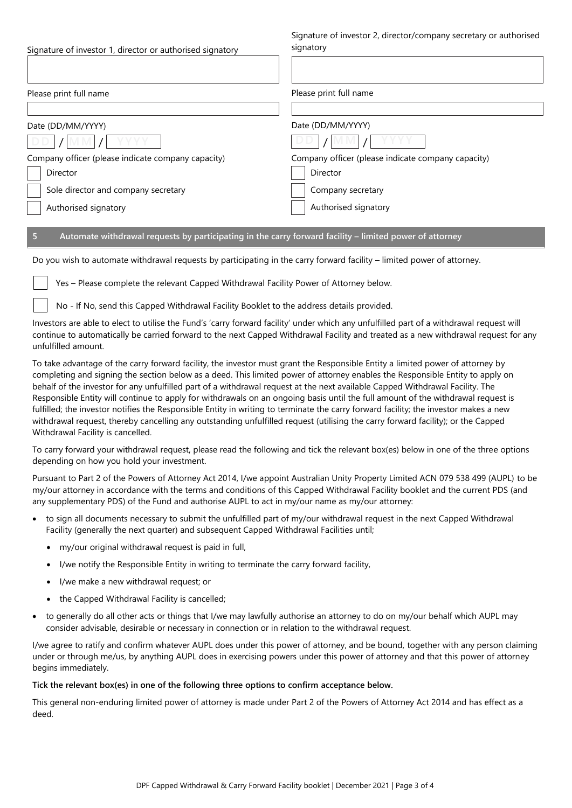| Signature of investor 1, director or authorised signatory | Signature of investor 2, director/company secretary or authorised<br>signatory |  |  |
|-----------------------------------------------------------|--------------------------------------------------------------------------------|--|--|
| Please print full name                                    | Please print full name                                                         |  |  |
|                                                           |                                                                                |  |  |
| Date (DD/MM/YYYY)                                         | Date (DD/MM/YYYY)                                                              |  |  |
|                                                           |                                                                                |  |  |
| Company officer (please indicate company capacity)        | Company officer (please indicate company capacity)                             |  |  |
| Director                                                  | Director                                                                       |  |  |
| Sole director and company secretary                       | Company secretary                                                              |  |  |
| Authorised signatory                                      | Authorised signatory                                                           |  |  |

## **5 Automate withdrawal requests by participating in the carry forward facility – limited power of attorney**

Do you wish to automate withdrawal requests by participating in the carry forward facility – limited power of attorney.

Yes – Please complete the relevant Capped Withdrawal Facility Power of Attorney below.

No - If No, send this Capped Withdrawal Facility Booklet to the address details provided.

Investors are able to elect to utilise the Fund's 'carry forward facility' under which any unfulfilled part of a withdrawal request will continue to automatically be carried forward to the next Capped Withdrawal Facility and treated as a new withdrawal request for any unfulfilled amount.

To take advantage of the carry forward facility, the investor must grant the Responsible Entity a limited power of attorney by completing and signing the section below as a deed. This limited power of attorney enables the Responsible Entity to apply on behalf of the investor for any unfulfilled part of a withdrawal request at the next available Capped Withdrawal Facility. The Responsible Entity will continue to apply for withdrawals on an ongoing basis until the full amount of the withdrawal request is fulfilled; the investor notifies the Responsible Entity in writing to terminate the carry forward facility; the investor makes a new withdrawal request, thereby cancelling any outstanding unfulfilled request (utilising the carry forward facility); or the Capped Withdrawal Facility is cancelled.

To carry forward your withdrawal request, please read the following and tick the relevant box(es) below in one of the three options depending on how you hold your investment.

Pursuant to Part 2 of the Powers of Attorney Act 2014, I/we appoint Australian Unity Property Limited ACN 079 538 499 (AUPL) to be my/our attorney in accordance with the terms and conditions of this Capped Withdrawal Facility booklet and the current PDS (and any supplementary PDS) of the Fund and authorise AUPL to act in my/our name as my/our attorney:

- to sign all documents necessary to submit the unfulfilled part of my/our withdrawal request in the next Capped Withdrawal Facility (generally the next quarter) and subsequent Capped Withdrawal Facilities until;
	- my/our original withdrawal request is paid in full,
	- I/we notify the Responsible Entity in writing to terminate the carry forward facility,
	- I/we make a new withdrawal request; or
	- the Capped Withdrawal Facility is cancelled;
- to generally do all other acts or things that I/we may lawfully authorise an attorney to do on my/our behalf which AUPL may consider advisable, desirable or necessary in connection or in relation to the withdrawal request.

I/we agree to ratify and confirm whatever AUPL does under this power of attorney, and be bound, together with any person claiming under or through me/us, by anything AUPL does in exercising powers under this power of attorney and that this power of attorney begins immediately.

**Tick the relevant box(es) in one of the following three options to confirm acceptance below.** 

This general non-enduring limited power of attorney is made under Part 2 of the Powers of Attorney Act 2014 and has effect as a deed.